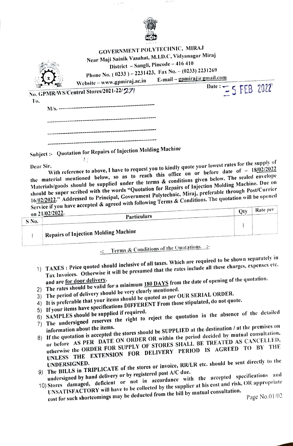

 $\tau_0 \to t$ 

|                                 | <b>GOVERNMENT POLYTECHNIC, MIRAJ</b><br>Near Maji Sainik Vasahat, M.I.D.C, Vidyanagar Miraj<br>District - Sangli, Pincode - 416 410<br>Phone No. (0233) - 2231423, Fax No. - (0233) 2231269 | E-mail – gpmiraj@gmail.com |
|---------------------------------|---------------------------------------------------------------------------------------------------------------------------------------------------------------------------------------------|----------------------------|
|                                 | Website-www.gpmiraj.ac.in<br>No. GPMR/WS/Central Stores/2021-22/27)                                                                                                                         | Date: $=$ 5 FEB 2022       |
| To,<br>M/s. ------------------- |                                                                                                                                                                                             |                            |
|                                 |                                                                                                                                                                                             |                            |
|                                 |                                                                                                                                                                                             |                            |
|                                 | Subject :- Quotation for Repairs of Injection Molding Machine                                                                                                                               |                            |

Dear Sir,<br>With reference to above, I have to request you to kindly quote your lowest rates for<br>the material mentioned below, so as to reach this office on or before date of r,<br>With reference to above, I have to request you to kindly quote your lowest rates for the supply of Materials/goods should be supplied under the terms & conditions given below. The sealed envelope should be super scribed with the words "Quotation for Repairs of Injection Molding Machine. Due on 16/02/2022." Addressed to Principal, Government Polytechnic, Miraj, preferable through Post/Currier Service if you have accepted & agreed with following Terms & Conditions. The quotation will be opened<br>Service if you have accepted & agreed with following Terms & Conditions. The quotation will be opened

|       | $901$ and $11$ $300$ and $100$<br>on 21/02/2022.<br>Particulars | Rate per |
|-------|-----------------------------------------------------------------|----------|
| S No. |                                                                 |          |
|       | Repairs of Injection Molding Machine                            |          |

-: Terms & Conditions of the Quotations :-

- 1) TAXES: Price quoted should inclusive of all taxes. Which are required to be shown separately in Tax Invoices. Otherwise it will be presumed that the rates include all these charges, expenses etc.
- and are <u>for door delivery</u>.<br>
2) The rates should be valid for a minimum 180 DAYS from the date of opening of the quotation.<br>
2) The rates should be very clearly mentioned.
- 
- 3) The period of delivery should be very clearly mentioned.
- 4) It is preferable that your items should be quoted as per OUR SERIAL ORDER. 5) If your items have specifications DIFFERENT From those stipulated, do not quote.
- 
- 
- (b) If your nems may be supplied if required.<br>
(b) SAMPLES should be supplied if required.<br>
(c) The undersigned reserves the right to reject the quotation in the absence of the detailed<br>
(c) The undersigned reserves the ri
- information about the items.<br>
8) If the quotation is accepted the stores should be SUPPLIED at the destination / at the premises on<br>
8) If the quotation is accepted the stores should be SUPPLIED at the decided by mutual co or before AS PER DATE ON ORDER OR within the period decided by mutual consultation, otherwise the ORDER FOR SUPPLY OF STORES SHALL BE TREATED AS CANCELLED, UNLESS THE EXTENSION FOR DELIVERY PERIOD IS AGREED TO BY THE
- UNDERSIGNED.<br>
9) The BILLS in TRIPLICATE of the stores or invoice, RR/LR etc. should be sent directly to the<br>
9) The BILLS in TRIPLICATE of the stores or invoice, RR/LR etc. should be sent directly to the
- undersigned by hand delivery or by registered post A/C due. 10) Stores damaged, deficient or not in accordance with the aecepted specifications and UNSATISFACTORY will have to be collected by the supplier at his cost and risk, OR appropriate
	- cost for such shorteomings may be dedueted from the bill by mutual consultation. Page No.01/02